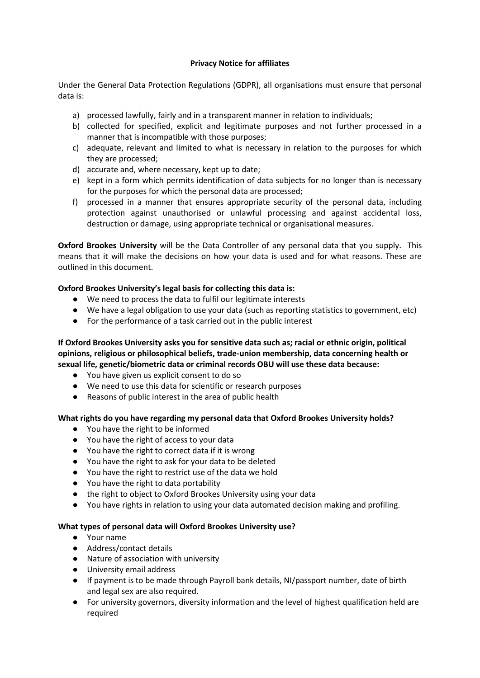#### **Privacy Notice for affiliates**

Under the General Data Protection Regulations (GDPR), all organisations must ensure that personal data is:

- a) processed lawfully, fairly and in a transparent manner in relation to individuals;
- b) collected for specified, explicit and legitimate purposes and not further processed in a manner that is incompatible with those purposes;
- c) adequate, relevant and limited to what is necessary in relation to the purposes for which they are processed;
- d) accurate and, where necessary, kept up to date;
- e) kept in a form which permits identification of data subjects for no longer than is necessary for the purposes for which the personal data are processed;
- f) processed in a manner that ensures appropriate security of the personal data, including protection against unauthorised or unlawful processing and against accidental loss, destruction or damage, using appropriate technical or organisational measures.

**Oxford Brookes University** will be the Data Controller of any personal data that you supply. This means that it will make the decisions on how your data is used and for what reasons. These are outlined in this document.

## **Oxford Brookes University's legal basis for collecting this data is:**

- We need to process the data to fulfil our legitimate interests
- We have a legal obligation to use your data (such as reporting statistics to government, etc)
- For the performance of a task carried out in the public interest

## **If Oxford Brookes University asks you for sensitive data such as; racial or ethnic origin, political opinions, religious or philosophical beliefs, trade-union membership, data concerning health or sexual life, genetic/biometric data or criminal records OBU will use these data because:**

- You have given us explicit consent to do so
- We need to use this data for scientific or research purposes
- Reasons of public interest in the area of public health

## **What rights do you have regarding my personal data that Oxford Brookes University holds?**

- You have the right to be informed
- You have the right of access to your data
- You have the right to correct data if it is wrong
- You have the right to ask for your data to be deleted
- You have the right to restrict use of the data we hold
- You have the right to data portability
- the right to object to Oxford Brookes University using your data
- You have rights in relation to using your data automated decision making and profiling.

## **What types of personal data will Oxford Brookes University use?**

- Your name
- Address/contact details
- Nature of association with university
- University email address
- If payment is to be made through Payroll bank details, NI/passport number, date of birth and legal sex are also required.
- For university governors, diversity information and the level of highest qualification held are required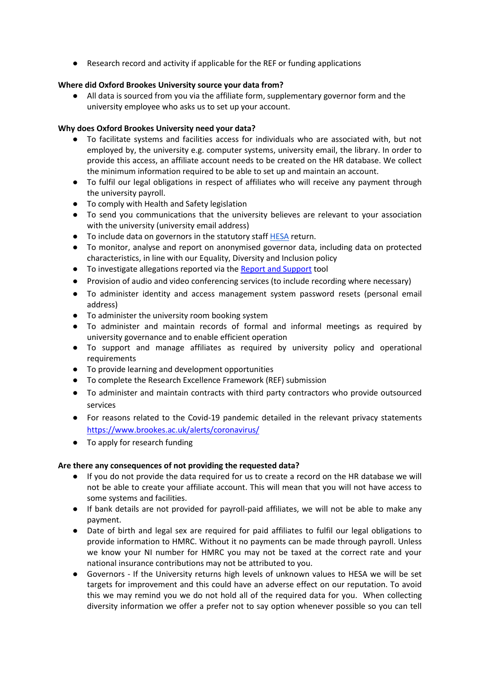● Research record and activity if applicable for the REF or funding applications

# **Where did Oxford Brookes University source your data from?**

● All data is sourced from you via the affiliate form, supplementary governor form and the university employee who asks us to set up your account.

## **Why does Oxford Brookes University need your data?**

- To facilitate systems and facilities access for individuals who are associated with, but not employed by, the university e.g. computer systems, university email, the library. In order to provide this access, an affiliate account needs to be created on the HR database. We collect the minimum information required to be able to set up and maintain an account.
- To fulfil our legal obligations in respect of affiliates who will receive any payment through the university payroll.
- To comply with Health and Safety legislation
- To send you communications that the university believes are relevant to your association with the university (university email address)
- To include data on governors in the statutory staff [HESA](https://www.hesa.ac.uk/) return.
- To monitor, analyse and report on anonymised governor data, including data on protected characteristics, in line with our Equality, Diversity and Inclusion policy
- To investigate allegations reported via th[e Report and Support](https://www.brookes.ac.uk/students/report-and-support/privacy-notice/) tool
- Provision of audio and video conferencing services (to include recording where necessary)
- To administer identity and access management system password resets (personal email address)
- To administer the university room booking system
- To administer and maintain records of formal and informal meetings as required by university governance and to enable efficient operation
- To support and manage affiliates as required by university policy and operational requirements
- To provide learning and development opportunities
- To complete the Research Excellence Framework (REF) submission
- To administer and maintain contracts with third party contractors who provide outsourced services
- For reasons related to the Covid-19 pandemic detailed in the relevant privacy statements <https://www.brookes.ac.uk/alerts/coronavirus/>
- To apply for research funding

## **Are there any consequences of not providing the requested data?**

- If you do not provide the data required for us to create a record on the HR database we will not be able to create your affiliate account. This will mean that you will not have access to some systems and facilities.
- If bank details are not provided for payroll-paid affiliates, we will not be able to make any payment.
- Date of birth and legal sex are required for paid affiliates to fulfil our legal obligations to provide information to HMRC. Without it no payments can be made through payroll. Unless we know your NI number for HMRC you may not be taxed at the correct rate and your national insurance contributions may not be attributed to you.
- Governors If the University returns high levels of unknown values to HESA we will be set targets for improvement and this could have an adverse effect on our reputation. To avoid this we may remind you we do not hold all of the required data for you. When collecting diversity information we offer a prefer not to say option whenever possible so you can tell